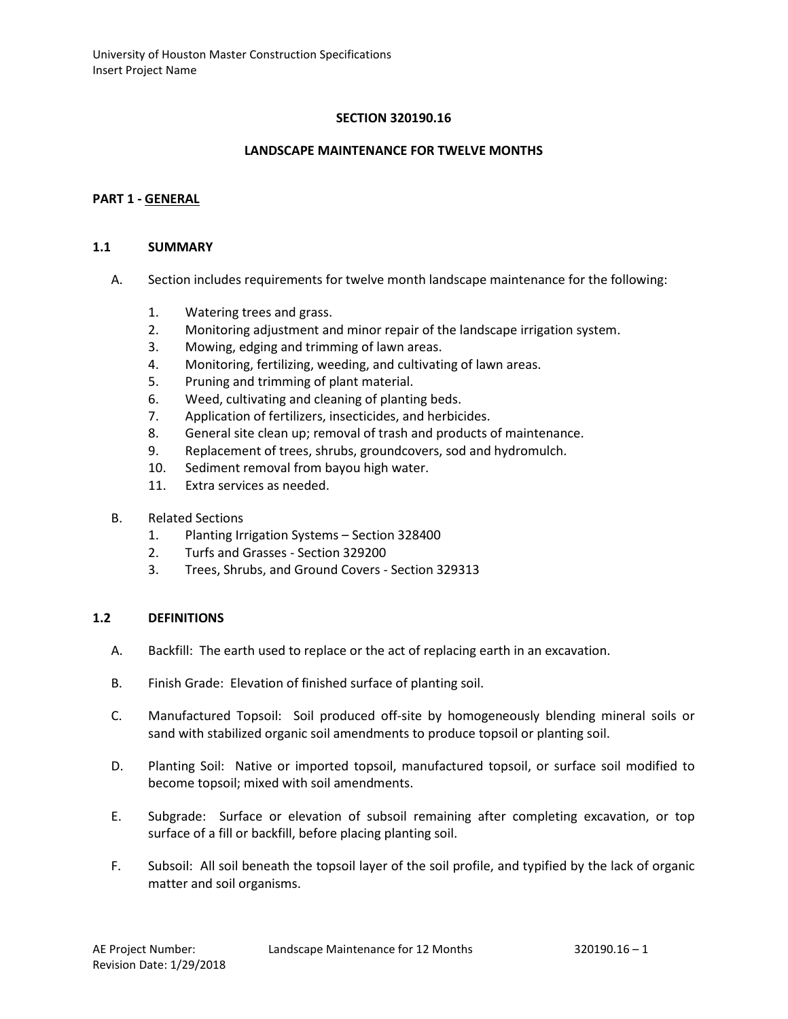### **SECTION 320190.16**

#### **LANDSCAPE MAINTENANCE FOR TWELVE MONTHS**

#### **PART 1 - GENERAL**

#### **1.1 SUMMARY**

- A. Section includes requirements for twelve month landscape maintenance for the following:
	- 1. Watering trees and grass.
	- 2. Monitoring adjustment and minor repair of the landscape irrigation system.
	- 3. Mowing, edging and trimming of lawn areas.
	- 4. Monitoring, fertilizing, weeding, and cultivating of lawn areas.
	- 5. Pruning and trimming of plant material.
	- 6. Weed, cultivating and cleaning of planting beds.
	- 7. Application of fertilizers, insecticides, and herbicides.
	- 8. General site clean up; removal of trash and products of maintenance.
	- 9. Replacement of trees, shrubs, groundcovers, sod and hydromulch.
	- 10. Sediment removal from bayou high water.
	- 11. Extra services as needed.
- B. Related Sections
	- 1. Planting Irrigation Systems Section 328400
	- 2. Turfs and Grasses Section 329200
	- 3. Trees, Shrubs, and Ground Covers Section 329313

#### **1.2 DEFINITIONS**

- A. Backfill: The earth used to replace or the act of replacing earth in an excavation.
- B. Finish Grade: Elevation of finished surface of planting soil.
- C. Manufactured Topsoil: Soil produced off-site by homogeneously blending mineral soils or sand with stabilized organic soil amendments to produce topsoil or planting soil.
- D. Planting Soil: Native or imported topsoil, manufactured topsoil, or surface soil modified to become topsoil; mixed with soil amendments.
- E. Subgrade: Surface or elevation of subsoil remaining after completing excavation, or top surface of a fill or backfill, before placing planting soil.
- F. Subsoil: All soil beneath the topsoil layer of the soil profile, and typified by the lack of organic matter and soil organisms.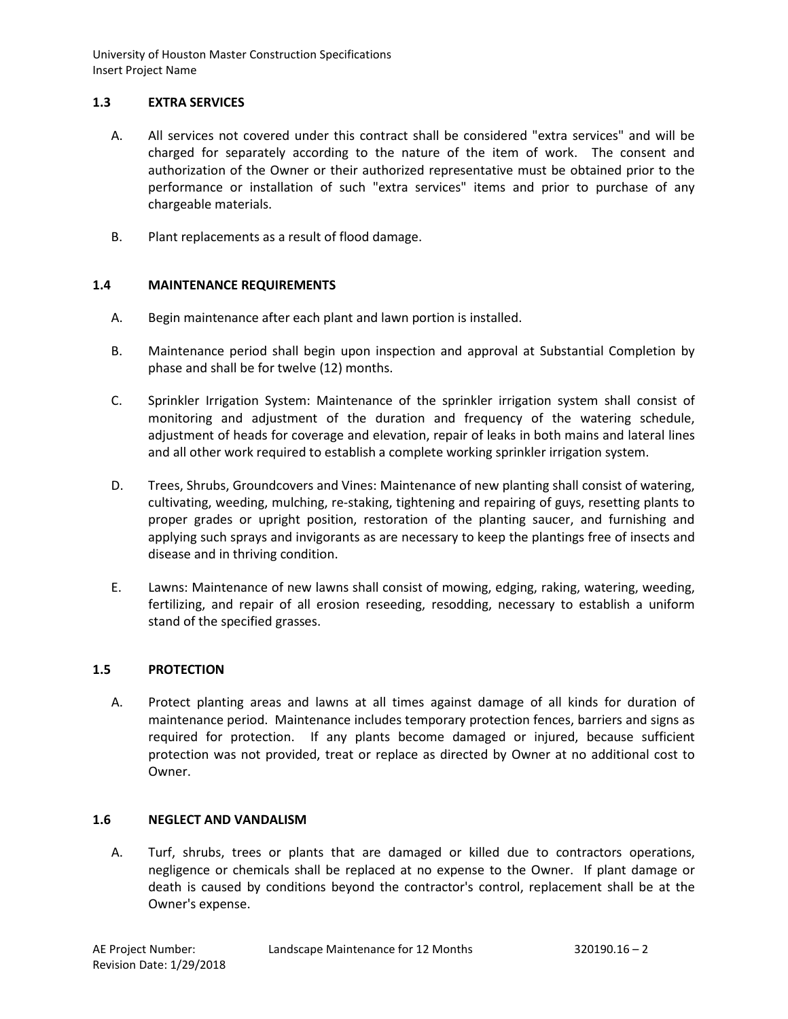# **1.3 EXTRA SERVICES**

- A. All services not covered under this contract shall be considered "extra services" and will be charged for separately according to the nature of the item of work. The consent and authorization of the Owner or their authorized representative must be obtained prior to the performance or installation of such "extra services" items and prior to purchase of any chargeable materials.
- B. Plant replacements as a result of flood damage.

# **1.4 MAINTENANCE REQUIREMENTS**

- A. Begin maintenance after each plant and lawn portion is installed.
- B. Maintenance period shall begin upon inspection and approval at Substantial Completion by phase and shall be for twelve (12) months.
- C. Sprinkler Irrigation System: Maintenance of the sprinkler irrigation system shall consist of monitoring and adjustment of the duration and frequency of the watering schedule, adjustment of heads for coverage and elevation, repair of leaks in both mains and lateral lines and all other work required to establish a complete working sprinkler irrigation system.
- D. Trees, Shrubs, Groundcovers and Vines: Maintenance of new planting shall consist of watering, cultivating, weeding, mulching, re-staking, tightening and repairing of guys, resetting plants to proper grades or upright position, restoration of the planting saucer, and furnishing and applying such sprays and invigorants as are necessary to keep the plantings free of insects and disease and in thriving condition.
- E. Lawns: Maintenance of new lawns shall consist of mowing, edging, raking, watering, weeding, fertilizing, and repair of all erosion reseeding, resodding, necessary to establish a uniform stand of the specified grasses.

### **1.5 PROTECTION**

A. Protect planting areas and lawns at all times against damage of all kinds for duration of maintenance period. Maintenance includes temporary protection fences, barriers and signs as required for protection. If any plants become damaged or injured, because sufficient protection was not provided, treat or replace as directed by Owner at no additional cost to Owner.

### **1.6 NEGLECT AND VANDALISM**

A. Turf, shrubs, trees or plants that are damaged or killed due to contractors operations, negligence or chemicals shall be replaced at no expense to the Owner. If plant damage or death is caused by conditions beyond the contractor's control, replacement shall be at the Owner's expense.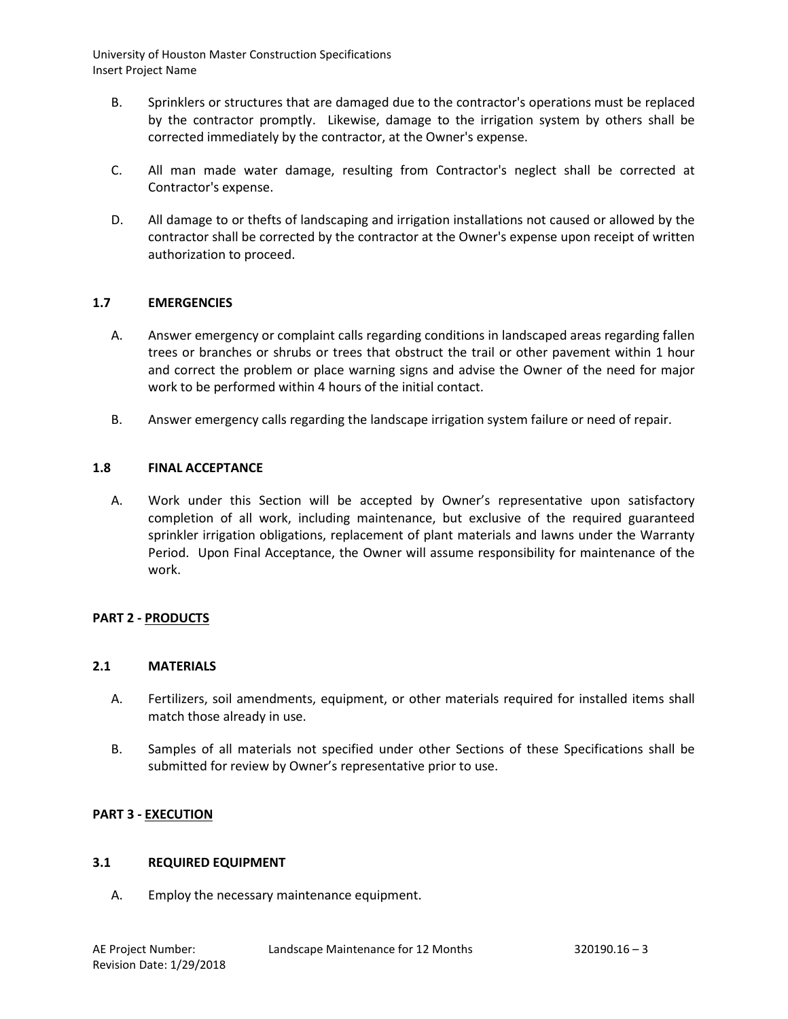- B. Sprinklers or structures that are damaged due to the contractor's operations must be replaced by the contractor promptly. Likewise, damage to the irrigation system by others shall be corrected immediately by the contractor, at the Owner's expense.
- C. All man made water damage, resulting from Contractor's neglect shall be corrected at Contractor's expense.
- D. All damage to or thefts of landscaping and irrigation installations not caused or allowed by the contractor shall be corrected by the contractor at the Owner's expense upon receipt of written authorization to proceed.

### **1.7 EMERGENCIES**

- A. Answer emergency or complaint calls regarding conditions in landscaped areas regarding fallen trees or branches or shrubs or trees that obstruct the trail or other pavement within 1 hour and correct the problem or place warning signs and advise the Owner of the need for major work to be performed within 4 hours of the initial contact.
- B. Answer emergency calls regarding the landscape irrigation system failure or need of repair.

#### **1.8 FINAL ACCEPTANCE**

A. Work under this Section will be accepted by Owner's representative upon satisfactory completion of all work, including maintenance, but exclusive of the required guaranteed sprinkler irrigation obligations, replacement of plant materials and lawns under the Warranty Period. Upon Final Acceptance, the Owner will assume responsibility for maintenance of the work.

### **PART 2 - PRODUCTS**

#### **2.1 MATERIALS**

- A. Fertilizers, soil amendments, equipment, or other materials required for installed items shall match those already in use.
- B. Samples of all materials not specified under other Sections of these Specifications shall be submitted for review by Owner's representative prior to use.

#### **PART 3 - EXECUTION**

#### **3.1 REQUIRED EQUIPMENT**

A. Employ the necessary maintenance equipment.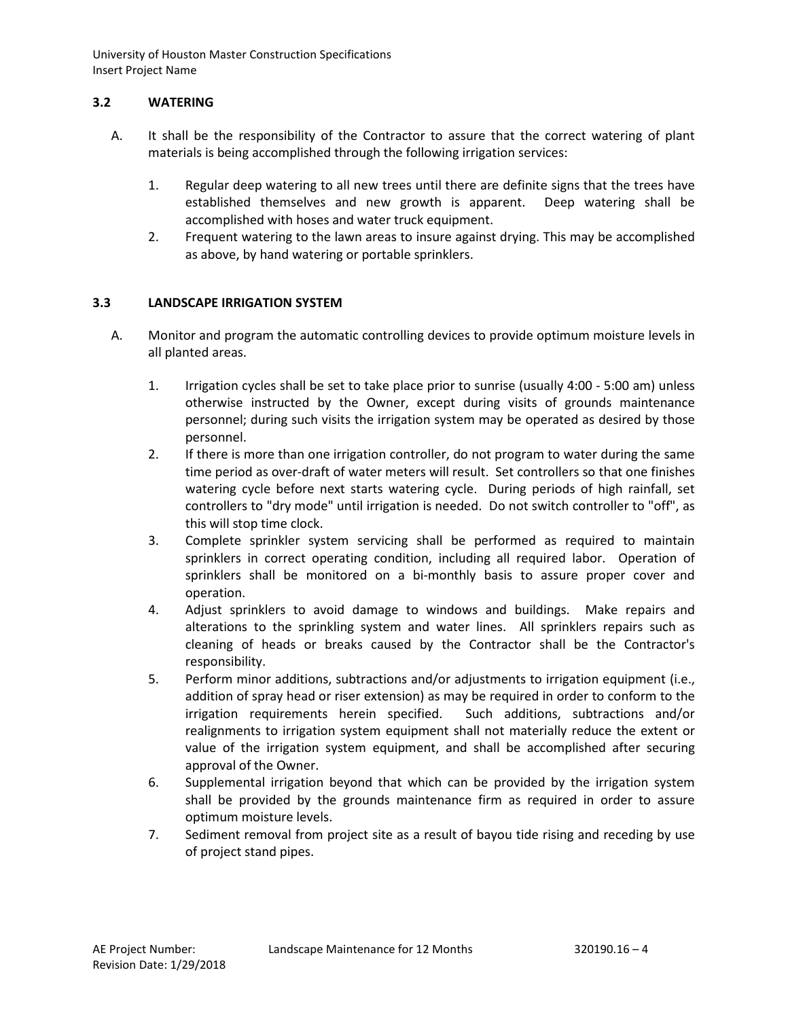# **3.2 WATERING**

- A. It shall be the responsibility of the Contractor to assure that the correct watering of plant materials is being accomplished through the following irrigation services:
	- 1. Regular deep watering to all new trees until there are definite signs that the trees have established themselves and new growth is apparent. Deep watering shall be accomplished with hoses and water truck equipment.
	- 2. Frequent watering to the lawn areas to insure against drying. This may be accomplished as above, by hand watering or portable sprinklers.

# **3.3 LANDSCAPE IRRIGATION SYSTEM**

- A. Monitor and program the automatic controlling devices to provide optimum moisture levels in all planted areas.
	- 1. Irrigation cycles shall be set to take place prior to sunrise (usually 4:00 5:00 am) unless otherwise instructed by the Owner, except during visits of grounds maintenance personnel; during such visits the irrigation system may be operated as desired by those personnel.
	- 2. If there is more than one irrigation controller, do not program to water during the same time period as over-draft of water meters will result. Set controllers so that one finishes watering cycle before next starts watering cycle. During periods of high rainfall, set controllers to "dry mode" until irrigation is needed. Do not switch controller to "off", as this will stop time clock.
	- 3. Complete sprinkler system servicing shall be performed as required to maintain sprinklers in correct operating condition, including all required labor. Operation of sprinklers shall be monitored on a bi-monthly basis to assure proper cover and operation.
	- 4. Adjust sprinklers to avoid damage to windows and buildings. Make repairs and alterations to the sprinkling system and water lines. All sprinklers repairs such as cleaning of heads or breaks caused by the Contractor shall be the Contractor's responsibility.
	- 5. Perform minor additions, subtractions and/or adjustments to irrigation equipment (i.e., addition of spray head or riser extension) as may be required in order to conform to the irrigation requirements herein specified. Such additions, subtractions and/or realignments to irrigation system equipment shall not materially reduce the extent or value of the irrigation system equipment, and shall be accomplished after securing approval of the Owner.
	- 6. Supplemental irrigation beyond that which can be provided by the irrigation system shall be provided by the grounds maintenance firm as required in order to assure optimum moisture levels.
	- 7. Sediment removal from project site as a result of bayou tide rising and receding by use of project stand pipes.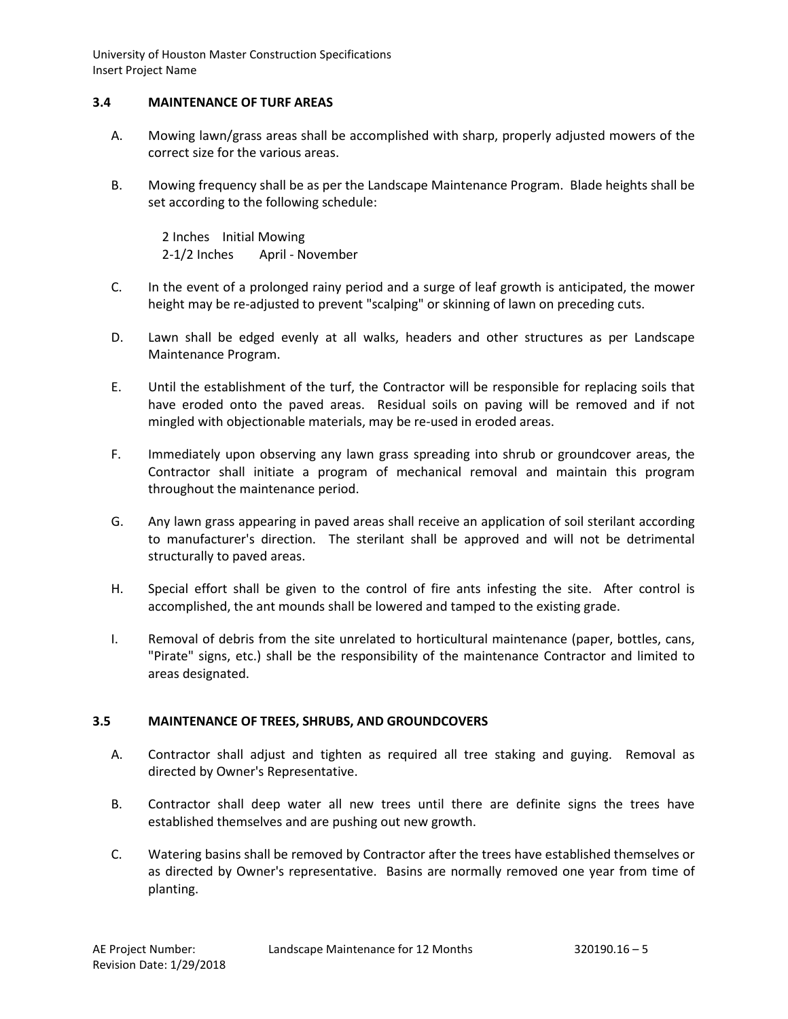## **3.4 MAINTENANCE OF TURF AREAS**

- A. Mowing lawn/grass areas shall be accomplished with sharp, properly adjusted mowers of the correct size for the various areas.
- B. Mowing frequency shall be as per the Landscape Maintenance Program. Blade heights shall be set according to the following schedule:

2 Inches Initial Mowing 2-1/2 Inches April - November

- C. In the event of a prolonged rainy period and a surge of leaf growth is anticipated, the mower height may be re-adjusted to prevent "scalping" or skinning of lawn on preceding cuts.
- D. Lawn shall be edged evenly at all walks, headers and other structures as per Landscape Maintenance Program.
- E. Until the establishment of the turf, the Contractor will be responsible for replacing soils that have eroded onto the paved areas. Residual soils on paving will be removed and if not mingled with objectionable materials, may be re-used in eroded areas.
- F. Immediately upon observing any lawn grass spreading into shrub or groundcover areas, the Contractor shall initiate a program of mechanical removal and maintain this program throughout the maintenance period.
- G. Any lawn grass appearing in paved areas shall receive an application of soil sterilant according to manufacturer's direction. The sterilant shall be approved and will not be detrimental structurally to paved areas.
- H. Special effort shall be given to the control of fire ants infesting the site. After control is accomplished, the ant mounds shall be lowered and tamped to the existing grade.
- I. Removal of debris from the site unrelated to horticultural maintenance (paper, bottles, cans, "Pirate" signs, etc.) shall be the responsibility of the maintenance Contractor and limited to areas designated.

### **3.5 MAINTENANCE OF TREES, SHRUBS, AND GROUNDCOVERS**

- A. Contractor shall adjust and tighten as required all tree staking and guying. Removal as directed by Owner's Representative.
- B. Contractor shall deep water all new trees until there are definite signs the trees have established themselves and are pushing out new growth.
- C. Watering basins shall be removed by Contractor after the trees have established themselves or as directed by Owner's representative. Basins are normally removed one year from time of planting.